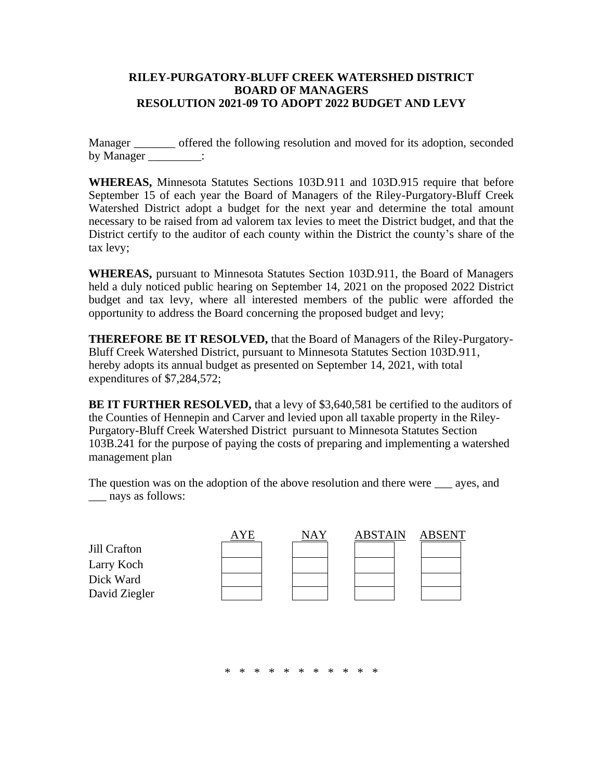## **RILEY-PURGATORY-BLUFF CREEK WATERSHED DISTRICT BOARD OF MANAGERS RESOLUTION 2021-09 TO ADOPT 2022 BUDGET AND LEVY**

Manager \_\_\_\_\_\_\_ offered the following resolution and moved for its adoption, seconded by Manager \_\_\_\_\_\_\_\_\_:

**WHEREAS,** Minnesota Statutes Sections 103D.911 and 103D.915 require that before September 15 of each year the Board of Managers of the Riley-Purgatory-Bluff Creek Watershed District adopt a budget for the next year and determine the total amount necessary to be raised from ad valorem tax levies to meet the District budget, and that the District certify to the auditor of each county within the District the county's share of the tax levy;

**WHEREAS,** pursuant to Minnesota Statutes Section 103D.911, the Board of Managers held a duly noticed public hearing on September 14, 2021 on the proposed 2022 District budget and tax levy, where all interested members of the public were afforded the opportunity to address the Board concerning the proposed budget and levy;

**THEREFORE BE IT RESOLVED,** that the Board of Managers of the Riley-Purgatory-Bluff Creek Watershed District, pursuant to Minnesota Statutes Section 103D.911, hereby adopts its annual budget as presented on September 14, 2021, with total expenditures of \$7,284,572;

**BE IT FURTHER RESOLVED,** that a levy of \$3,640,581 be certified to the auditors of the Counties of Hennepin and Carver and levied upon all taxable property in the Riley-Purgatory-Bluff Creek Watershed District pursuant to Minnesota Statutes Section 103B.241 for the purpose of paying the costs of preparing and implementing a watershed management plan

The question was on the adoption of the above resolution and there were ayes, and \_\_\_ nays as follows:



\* \* \* \* \* \* \* \* \* \* \*